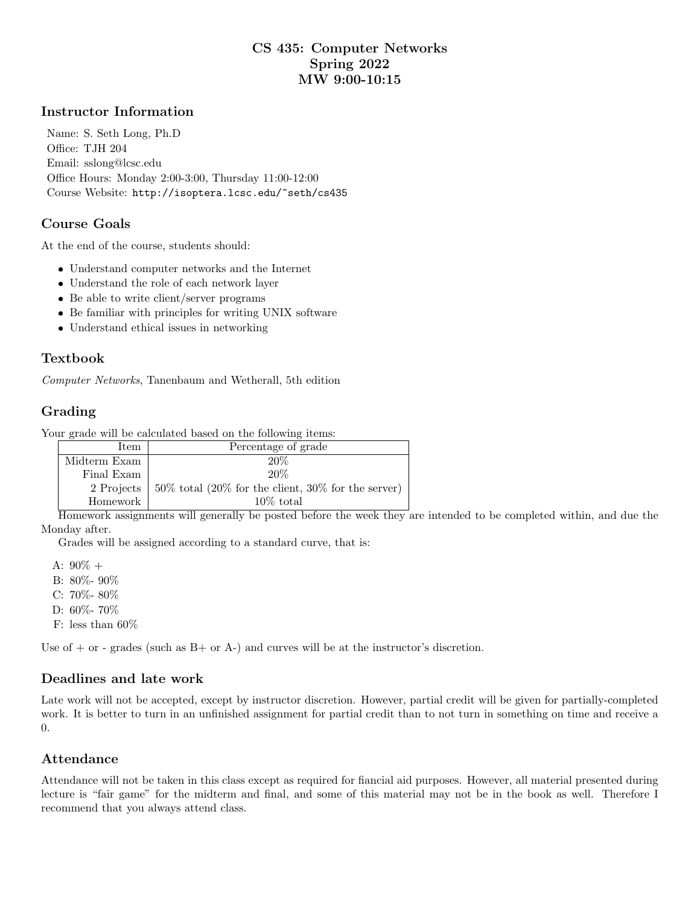## CS 435: Computer Networks Spring 2022 MW 9:00-10:15

#### Instructor Information

Name: S. Seth Long, Ph.D Office: TJH 204 Email: sslong@lcsc.edu Office Hours: Monday 2:00-3:00, Thursday 11:00-12:00 Course Website: http://isoptera.lcsc.edu/~seth/cs435

#### Course Goals

At the end of the course, students should:

- Understand computer networks and the Internet
- Understand the role of each network layer
- Be able to write client/server programs
- Be familiar with principles for writing UNIX software
- Understand ethical issues in networking

### Textbook

Computer Networks, Tanenbaum and Wetherall, 5th edition

# Grading

Your grade will be calculated based on the following items:

| Item         | Percentage of grade                                                      |  |
|--------------|--------------------------------------------------------------------------|--|
| Midterm Exam | 20%                                                                      |  |
| Final Exam   | 20\%                                                                     |  |
|              | 2 Projects   $50\%$ total $(20\%$ for the client, $30\%$ for the server) |  |
| Homework     | $10\%$ total                                                             |  |

Homework assignments will generally be posted before the week they are intended to be completed within, and due the Monday after.

Grades will be assigned according to a standard curve, that is:

A:  $90\% +$ B: 80%- 90% C: 70%- 80% D: 60%- 70% F: less than 60%

Use of  $+$  or - grades (such as  $B+$  or  $A-$ ) and curves will be at the instructor's discretion.

### Deadlines and late work

Late work will not be accepted, except by instructor discretion. However, partial credit will be given for partially-completed work. It is better to turn in an unfinished assignment for partial credit than to not turn in something on time and receive a 0.

### Attendance

Attendance will not be taken in this class except as required for fiancial aid purposes. However, all material presented during lecture is "fair game" for the midterm and final, and some of this material may not be in the book as well. Therefore I recommend that you always attend class.